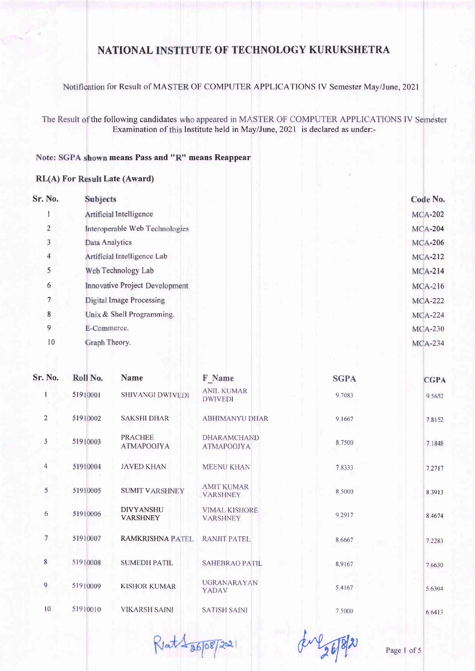Notification for Result of MASTER OF COMPUTER APPLICATIONS IV Semester May/June, 2021

The Result of the following candidates who appeared in MASTER OF COMPUTER APPLICATIONS IV Semester Examination of this Institute held in May/June, 2021 is declared as under:-

#### Note: SGPA shown means Pass and "R" means Reappear

#### **RL(A) For Result Late (Award)**

| <b>Subjects</b>                | Code No.       |
|--------------------------------|----------------|
| Artificial Intelligence        | <b>MCA-202</b> |
| Interoperable Web Technologies | <b>MCA-204</b> |
| Data Analytics                 | <b>MCA-206</b> |
| Artificial Intelligence Lab    | <b>MCA-212</b> |
| Web Technology Lab             | $MCA-214$      |
| Innovative Project Development | <b>MCA-216</b> |
| Digital Image Processing       | <b>MCA-222</b> |
| Unix & Shell Programming.      | <b>MCA-224</b> |
| E-Commerce.                    | <b>MCA-230</b> |
| Graph Theory.                  | <b>MCA-234</b> |
|                                |                |

| <b>Sr. No.</b> | Roll No. | <b>Name</b>                         | <b>F</b> Name                           | <b>SGPA</b> | <b>CGPA</b> |
|----------------|----------|-------------------------------------|-----------------------------------------|-------------|-------------|
| 1              | 51910001 | SHIVANGI DWIVEDI                    | <b>ANIL KUMAR</b><br><b>DWIVEDI</b>     | 9.7083      | 9.5652      |
| $\overline{2}$ | 51910002 | <b>SAKSHI DHAR</b>                  | <b>ABHIMANYU DHAR</b>                   | 9.1667      | 7.8152      |
| $\mathfrak{Z}$ | 51910003 | <b>PRACHEE</b><br><b>ATMAPOOJYA</b> | <b>DHARAMCHAND</b><br><b>ATMAPOOJYA</b> | 8,7500      | 7.1848      |
| $\overline{4}$ | 51910004 | <b>JAVED KHAN</b>                   | <b>MEENU KHAN</b>                       | 7.8333      | 7.2717      |
| 5              | 51910005 | <b>SUMIT VARSHNEY</b>               | <b>AMIT KUMAR</b><br><b>VARSHNEY</b>    | 8.5000      | 8.3913      |
| 6              | 51910006 | <b>DIVYANSHU</b><br><b>VARSHNEY</b> | <b>VIMAL KISHORE</b><br><b>VARSHNEY</b> | 9.2917      | 8.4674      |
| $\overline{7}$ | 51910007 | <b>RAMKRISHNA PATEL</b>             | RANJIT PATEL                            | 8.6667      | 7.2283      |
| 8              | 51910008 | <b>SUMEDH PATIL</b>                 | <b>SAHEBRAO PATIL</b>                   | 8.9167      | 7.6630      |
| 9              | 51910009 | <b>KISHOR KUMAR</b>                 | <b>UGRANARAYAN</b><br>YADAV             | 5.4167      | 5.6304      |
| 10             | 51910010 | <b>VIKARSH SAINI</b>                | <b>SATISH SAINI</b>                     | 7.5000      | 6.6413      |

Ret 1 26/08/2021

du 26/8/21

Page 1 of 5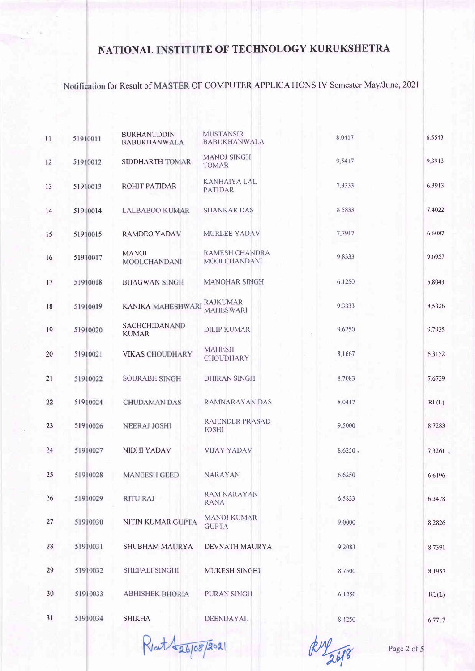Notification for Result of MASTER OF COMPUTER APPLICATIONS IV Semester May/June, 2021

| 11 | 51910011 | <b>BURHANUDDIN</b><br><b>BABUKHANWALA</b> | <b>MUSTANSIR</b><br><b>BABUKHANWALA</b>      | 8.0417  | 6.5543 |
|----|----------|-------------------------------------------|----------------------------------------------|---------|--------|
| 12 | 51910012 | SIDDHARTH TOMAR                           | <b>MANOJ SINGH</b><br><b>TOMAR</b>           | 9.5417  | 9.3913 |
| 13 | 51910013 | ROHIT PATIDAR                             | <b>KANHAIYA LAL</b><br><b>PATIDAR</b>        | 7.3333  | 6.3913 |
| 14 | 51910014 | <b>LALBABOO KUMAR</b>                     | <b>SHANKAR DAS</b>                           | 8.5833  | 7.4022 |
| 15 | 51910015 | <b>RAMDEO YADAV</b>                       | <b>MURLEE YADAV</b>                          | 7.7917  | 6.6087 |
| 16 | 51910017 | <b>MANOJ</b><br>MOOLCHANDANI              | <b>RAMESH CHANDRA</b><br><b>MOOLCHANDANI</b> | 9.8333  | 9.6957 |
| 17 | 51910018 | <b>BHAGWAN SINGH</b>                      | <b>MANOHAR SINGH</b>                         | 6.1250  | 5.8043 |
| 18 | 51910019 | <b>KANIKA MAHESHWARI</b>                  | <b>RAJKUMAR</b><br><b>MAHESWARI</b>          | 9.3333  | 8.5326 |
| 19 | 51910020 | <b>SACHCHIDANAND</b><br><b>KUMAR</b>      | <b>DILIP KUMAR</b>                           | 9.6250  | 9.7935 |
| 20 | 51910021 | <b>VIKAS CHOUDHARY</b>                    | <b>MAHESH</b><br><b>CHOUDHARY</b>            | 8.1667  | 6.3152 |
| 21 | 51910022 | <b>SOURABH SINGH</b>                      | <b>DHIRAN SINGH</b>                          | 8.7083  | 7.6739 |
| 22 | 51910024 | <b>CHUDAMAN DAS</b>                       | RAMNARAYAN DAS                               | 8.0417  | RL(L)  |
| 23 | 51910026 | <b>NEERAJ JOSHI</b>                       | <b>RAJENDER PRASAD</b><br><b>JOSHI</b>       | 9.5000  | 8.7283 |
| 24 | 51910027 | NIDHI YADAV                               | <b>VIJAY YADAV</b>                           | 8.6250. | 7.3261 |
| 25 | 51910028 | <b>MANEESH GEED</b>                       | <b>NARAYAN</b>                               | 6.6250  | 6.6196 |
| 26 | 51910029 | <b>RITU RAJ</b>                           | <b>RAM NARAYAN</b><br><b>RANA</b>            | 6,5833  | 6.3478 |
| 27 | 51910030 | NITIN KUMAR GUPTA                         | <b>MANOJ KUMAR</b><br><b>GUPTA</b>           | 9.0000  | 8.2826 |
| 28 | 51910031 | <b>SHUBHAM MAURYA</b>                     | DEVNATH MAURYA                               | 9.2083  | 8.7391 |
| 29 | 51910032 | <b>SHEFALI SINGHI</b>                     | <b>MUKESH SINGHI</b>                         | 8.7500  | 8.1957 |
| 30 | 51910033 | <b>ABHISHEK BHORIA</b>                    | PURAN SINGH                                  | 6.1250  | RL(L)  |
| 31 | 51910034 | <b>SHIKHA</b>                             | DEENDAYAL                                    | 8.1250  | 6.7717 |

Ret 126/08/2021

Ruy 26/8

Page 2 of 5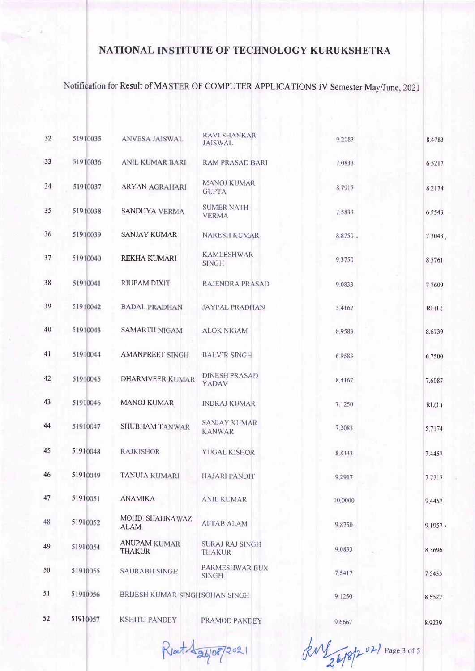# Notification for Result of MASTER OF COMPUTER APPLICATIONS IV Semester May/June, 2021

| 32 | 51910035 | <b>ANVESA JAISWAL</b>                | <b>RAVI SHANKAR</b><br><b>JAISWAL</b>   | 9.2083  | 8.4783 |
|----|----------|--------------------------------------|-----------------------------------------|---------|--------|
| 33 | 51910036 | <b>ANIL KUMAR BARI</b>               | <b>RAM PRASAD BARI</b>                  | 7,0833  | 6.5217 |
| 34 | 51910037 | <b>ARYAN AGRAHARI</b>                | <b>MANOJ KUMAR</b><br><b>GUPTA</b>      | 8.7917  | 8.2174 |
| 35 | 51910038 | SANDHYA VERMA                        | <b>SUMER NATH</b><br><b>VERMA</b>       | 7.5833  | 6.5543 |
| 36 | 51910039 | <b>SANJAY KUMAR</b>                  | <b>NARESH KUMAR</b>                     | 8.8750  | 7.3043 |
| 37 | 51910040 | <b>REKHA KUMARI</b>                  | <b>KAMLESHWAR</b><br><b>SINGH</b>       | 9.3750  | 8.5761 |
| 38 | 51910041 | RIUPAM DIXIT                         | RAJENDRA PRASAD                         | 9.0833  | 7.7609 |
| 39 | 51910042 | <b>BADAL PRADHAN</b>                 | <b>JAYPAL PRADHAN</b>                   | 5.4167  | RL(L)  |
| 40 | 51910043 | <b>SAMARTH NIGAM</b>                 | <b>ALOK NIGAM</b>                       | 8.9583  | 8.6739 |
| 41 | 51910044 | <b>AMANPREET SINGH</b>               | <b>BALVIR SINGH</b>                     | 6.9583  | 6.7500 |
| 42 | 51910045 | <b>DHARMVEER KUMAR</b>               | <b>DINESH PRASAD</b><br>YADAV           | 8.4167  | 7.6087 |
| 43 | 51910046 | <b>MANOJ KUMAR</b>                   | <b>INDRAJ KUMAR</b>                     | 7.1250  | RL(L)  |
| 44 | 51910047 | <b>SHUBHAM TANWAR</b>                | <b>SANJAY KUMAR</b><br><b>KANWAR</b>    | 7.2083  | 5.7174 |
| 45 | 51910048 | <b>RAJKISHOR</b>                     | <b>YUGAL KISHOR</b>                     | 8.8333  | 7.4457 |
| 46 | 51910049 | <b>TANUJA KUMARI</b>                 | <b>HAJARI PANDIT</b>                    | 9.2917  | 7.7717 |
| 47 | 51910051 | <b>ANAMIKA</b>                       | <b>ANIL KUMAR</b>                       | 10,0000 | 9.4457 |
| 48 | 51910052 | MOHD. SHAHNAWAZ<br><b>ALAM</b>       | <b>AFTAB ALAM</b>                       | 98750   | 9.1957 |
| 49 | 51910054 | <b>ANUPAM KUMAR</b><br><b>THAKUR</b> | <b>SURAJ RAJ SINGH</b><br><b>THAKUR</b> | 9.0833  | 8.3696 |
| 50 | 51910055 | <b>SAURABH SINGH</b>                 | PARMESHWAR BUX<br><b>SINGH</b>          | 7.5417  | 7.5435 |
| 51 | 51910056 | BRIJESH KUMAR SINGH SOHAN SINGH      |                                         | 9.1250  | 8.6522 |
| 52 | 51910057 | <b>KSHITIJ PANDEY</b>                | PRAMOD PANDEY                           | 9.6667  | 8.9239 |

Reat 1 26/08/2021

Jul 26/8/2021 Page 3 of 5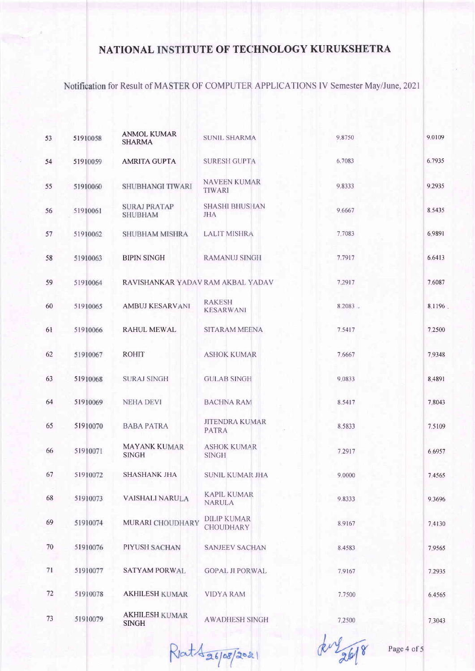Notification for Result of MASTER OF COMPUTER APPLICATIONS IV Semester May/June, 2021

| 53 | 51910058 | <b>ANMOL KUMAR</b><br><b>SHARMA</b>   | <b>SUNIL SHARMA</b>                    | 9.8750     | 9,0109 |
|----|----------|---------------------------------------|----------------------------------------|------------|--------|
| 54 | 51910059 | <b>AMRITA GUPTA</b>                   | <b>SURESH GUPTA</b>                    | 6.7083     | 6.7935 |
| 55 | 51910060 | SHUBHANGI TIWARI                      | <b>NAVEEN KUMAR</b><br><b>TIWARI</b>   | 9.8333     | 9.2935 |
| 56 | 51910061 | <b>SURAJ PRATAP</b><br><b>SHUBHAM</b> | <b>SHASHI BHUSHAN</b><br><b>JHA</b>    | 9.6667     | 8.5435 |
| 57 | 51910062 | <b>SHUBHAM MISHRA</b>                 | <b>LALIT MISHRA</b>                    | 7.7083     | 6.9891 |
| 58 | 51910063 | <b>BIPIN SINGH</b>                    | RAMANUJ SINGH                          | 7.7917     | 6.6413 |
| 59 | 51910064 | RAVISHANKAR YADAV RAM AKBAL YADAV     |                                        | 7.2917     | 7.6087 |
| 60 | 51910065 | <b>AMBUJ KESARVANI</b>                | <b>RAKESH</b><br><b>KESARWANI</b>      | $8.2083 -$ | 8.1196 |
| 61 | 51910066 | <b>RAHUL MEWAL</b>                    | SITARAM MEENA                          | 7.5417     | 7.2500 |
| 62 | 51910067 | <b>ROHIT</b>                          | <b>ASHOK KUMAR</b>                     | 7.6667     | 7.9348 |
| 63 | 51910068 | <b>SURAJ SINGH</b>                    | <b>GULAB SINGH</b>                     | 9.0833     | 8.4891 |
| 64 | 51910069 | <b>NEHA DEVI</b>                      | <b>BACHNA RAM</b>                      | 8.5417     | 7.8043 |
| 65 | 51910070 | <b>BABA PATRA</b>                     | <b>JITENDRA KUMAR</b><br><b>PATRA</b>  | 8.5833     | 7.5109 |
| 66 | 51910071 | <b>MAYANK KUMAR</b><br><b>SINGH</b>   | <b>ASHOK KUMAR</b><br><b>SINGH</b>     | 7.2917     | 6.6957 |
| 67 | 51910072 | <b>SHASHANK JHA</b>                   | <b>SUNIL KUMAR JHA</b>                 | 9.0000     | 7.4565 |
| 68 | 51910073 | <b>VAISHALI NARULA</b>                | <b>KAPIL KUMAR</b><br><b>NARULA</b>    | 9.8333     | 9.3696 |
| 69 | 51910074 | MURARI CHOUDHARY                      | <b>DILIP KUMAR</b><br><b>CHOUDHARY</b> | 8.9167     | 7.4130 |
| 70 | 51910076 | PIYUSH SACHAN                         | <b>SANJEEV SACHAN</b>                  | 8.4583     | 7.9565 |
| 71 | 51910077 | <b>SATYAM PORWAL</b>                  | <b>GOPAL JI PORWAL</b>                 | 7.9167     | 7.2935 |
| 72 | 51910078 | <b>AKHILESH KUMAR</b>                 | <b>VIDYA RAM</b>                       | 7.7500     | 6.4565 |
| 73 | 51910079 | <b>AKHILESH KUMAR</b><br><b>SINGH</b> | <b>AWADHESH SINGH</b>                  | 7.2500     | 7.3043 |

Rat 1 26/08/2021

Page 4 of 5

ku26/8